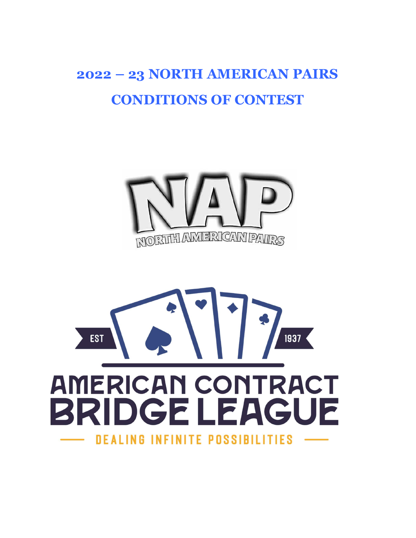

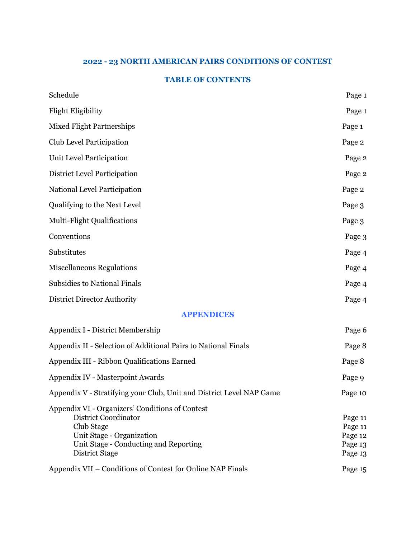#### TABLE OF CONTENTS

| Schedule                                                                                                                                                                             | Page 1                                              |
|--------------------------------------------------------------------------------------------------------------------------------------------------------------------------------------|-----------------------------------------------------|
| Flight Eligibility                                                                                                                                                                   | Page 1                                              |
| <b>Mixed Flight Partnerships</b>                                                                                                                                                     | Page 1                                              |
| Club Level Participation                                                                                                                                                             | Page 2                                              |
| Unit Level Participation                                                                                                                                                             | Page 2                                              |
| <b>District Level Participation</b>                                                                                                                                                  | Page 2                                              |
| National Level Participation                                                                                                                                                         | Page 2                                              |
| Qualifying to the Next Level                                                                                                                                                         | Page 3                                              |
| <b>Multi-Flight Qualifications</b>                                                                                                                                                   | Page 3                                              |
| Conventions                                                                                                                                                                          | Page 3                                              |
| Substitutes                                                                                                                                                                          | Page 4                                              |
| <b>Miscellaneous Regulations</b>                                                                                                                                                     | Page 4                                              |
| <b>Subsidies to National Finals</b>                                                                                                                                                  | Page 4                                              |
| <b>District Director Authority</b>                                                                                                                                                   | Page 4                                              |
| <b>APPENDICES</b>                                                                                                                                                                    |                                                     |
| Appendix I - District Membership                                                                                                                                                     | Page 6                                              |
| Appendix II - Selection of Additional Pairs to National Finals                                                                                                                       | Page 8                                              |
| Appendix III - Ribbon Qualifications Earned                                                                                                                                          | Page 8                                              |
| Appendix IV - Masterpoint Awards                                                                                                                                                     | Page 9                                              |
| Appendix V - Stratifying your Club, Unit and District Level NAP Game                                                                                                                 | Page 10                                             |
| Appendix VI - Organizers' Conditions of Contest<br><b>District Coordinator</b><br>Club Stage<br>Unit Stage - Organization<br>Unit Stage - Conducting and Reporting<br>District Stage | Page 11<br>Page 11<br>Page 12<br>Page 13<br>Page 13 |
| Appendix VII – Conditions of Contest for Online NAP Finals                                                                                                                           | Page 15                                             |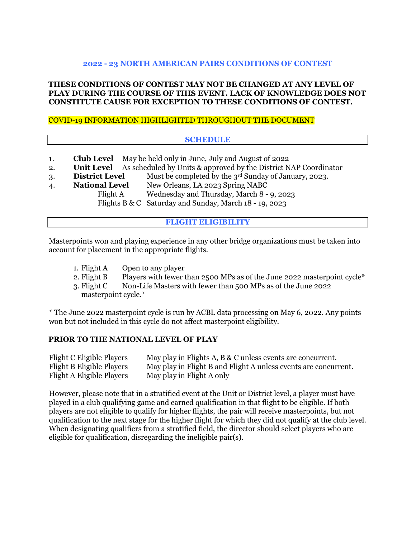#### THESE CONDITIONS OF CONTEST MAY NOT BE CHANGED AT ANY LEVEL OF PLAY DURING THE COURSE OF THIS EVENT. LACK OF KNOWLEDGE DOES NOT CONSTITUTE CAUSE FOR EXCEPTION TO THESE CONDITIONS OF CONTEST.

COVID-19 INFORMATION HIGHLIGHTED THROUGHOUT THE DOCUMENT

#### **SCHEDULE**

- 1. Club Level May be held only in June, July and August of 2022
- 2. Unit Level As scheduled by Units & approved by the District NAP Coordinator
- 3. **District Level** Must be completed by the  $3<sup>rd</sup>$  Sunday of January, 2023.
- 4. National Level New Orleans, LA 2023 Spring NABC Flight A Wednesday and Thursday, March 8 - 9, 2023

Flights B & C Saturday and Sunday, March 18 - 19, 2023

#### FLIGHT ELIGIBILITY

Masterpoints won and playing experience in any other bridge organizations must be taken into account for placement in the appropriate flights.

- 1. Flight A Open to any player
- 2. Flight B Players with fewer than 2500 MPs as of the June 2022 masterpoint cycle\*
- 3. Flight C Non-Life Masters with fewer than 500 MPs as of the June 2022 masterpoint cycle.\*

\* The June 2022 masterpoint cycle is run by ACBL data processing on May 6, 2022. Any points won but not included in this cycle do not affect masterpoint eligibility.

#### PRIOR TO THE NATIONAL LEVEL OF PLAY

| Flight C Eligible Players | May play in Flights A, B & C unless events are concurrent.      |
|---------------------------|-----------------------------------------------------------------|
| Flight B Eligible Players | May play in Flight B and Flight A unless events are concurrent. |
| Flight A Eligible Players | May play in Flight A only                                       |

However, please note that in a stratified event at the Unit or District level, a player must have played in a club qualifying game and earned qualification in that flight to be eligible. If both players are not eligible to qualify for higher flights, the pair will receive masterpoints, but not qualification to the next stage for the higher flight for which they did not qualify at the club level. When designating qualifiers from a stratified field, the director should select players who are eligible for qualification, disregarding the ineligible pair(s).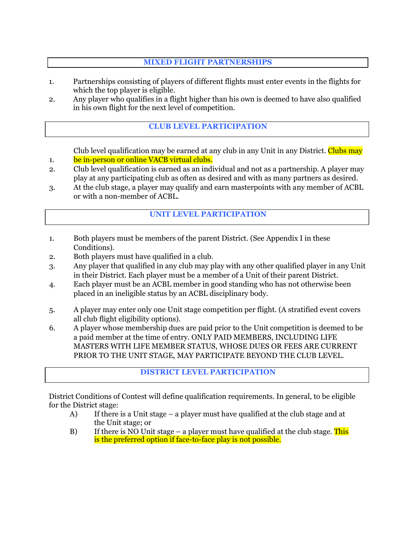# MIXED FLIGHT PARTNERSHIPS

- 1. Partnerships consisting of players of different flights must enter events in the flights for which the top player is eligible.
- 2. Any player who qualifies in a flight higher than his own is deemed to have also qualified in his own flight for the next level of competition.

### CLUB LEVEL PARTICIPATION

Club level qualification may be earned at any club in any Unit in any District. Clubs may be in-person or online VACB virtual clubs.

- 1. 2. Club level qualification is earned as an individual and not as a partnership. A player may play at any participating club as often as desired and with as many partners as desired.
- 3. At the club stage, a player may qualify and earn masterpoints with any member of ACBL or with a non-member of ACBL.

### UNIT LEVEL PARTICIPATION

- 1. Both players must be members of the parent District. (See Appendix I in these Conditions).
- 2. Both players must have qualified in a club.
- 3. Any player that qualified in any club may play with any other qualified player in any Unit in their District. Each player must be a member of a Unit of their parent District.
- 4. Each player must be an ACBL member in good standing who has not otherwise been placed in an ineligible status by an ACBL disciplinary body.
- 5. A player may enter only one Unit stage competition per flight. (A stratified event covers all club flight eligibility options).
- 6. A player whose membership dues are paid prior to the Unit competition is deemed to be a paid member at the time of entry. ONLY PAID MEMBERS, INCLUDING LIFE MASTERS WITH LIFE MEMBER STATUS, WHOSE DUES OR FEES ARE CURRENT PRIOR TO THE UNIT STAGE, MAY PARTICIPATE BEYOND THE CLUB LEVEL.

# DISTRICT LEVEL PARTICIPATION

District Conditions of Contest will define qualification requirements. In general, to be eligible for the District stage:

- A) If there is a Unit stage a player must have qualified at the club stage and at the Unit stage; or
- B) If there is NO Unit stage a player must have qualified at the club stage. This is the preferred option if face-to-face play is not possible.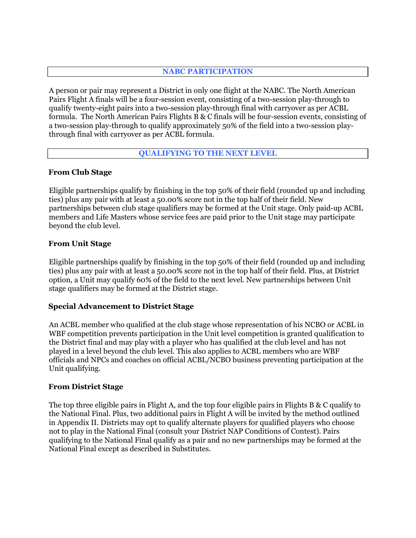#### NABC PARTICIPATION

A person or pair may represent a District in only one flight at the NABC. The North American Pairs Flight A finals will be a four-session event, consisting of a two-session play-through to qualify twenty-eight pairs into a two-session play-through final with carryover as per ACBL formula. The North American Pairs Flights B & C finals will be four-session events, consisting of a two-session play-through to qualify approximately 50% of the field into a two-session playthrough final with carryover as per ACBL formula.

#### QUALIFYING TO THE NEXT LEVEL

#### From Club Stage

Eligible partnerships qualify by finishing in the top 50% of their field (rounded up and including ties) plus any pair with at least a 50.00% score not in the top half of their field. New partnerships between club stage qualifiers may be formed at the Unit stage. Only paid-up ACBL members and Life Masters whose service fees are paid prior to the Unit stage may participate beyond the club level.

#### From Unit Stage

Eligible partnerships qualify by finishing in the top 50% of their field (rounded up and including ties) plus any pair with at least a 50.00% score not in the top half of their field. Plus, at District option, a Unit may qualify 60% of the field to the next level. New partnerships between Unit stage qualifiers may be formed at the District stage.

#### Special Advancement to District Stage

An ACBL member who qualified at the club stage whose representation of his NCBO or ACBL in WBF competition prevents participation in the Unit level competition is granted qualification to the District final and may play with a player who has qualified at the club level and has not played in a level beyond the club level. This also applies to ACBL members who are WBF officials and NPCs and coaches on official ACBL/NCBO business preventing participation at the Unit qualifying.

#### From District Stage

The top three eligible pairs in Flight A, and the top four eligible pairs in Flights B & C qualify to the National Final. Plus, two additional pairs in Flight A will be invited by the method outlined in Appendix II. Districts may opt to qualify alternate players for qualified players who choose not to play in the National Final (consult your District NAP Conditions of Contest). Pairs qualifying to the National Final qualify as a pair and no new partnerships may be formed at the National Final except as described in Substitutes.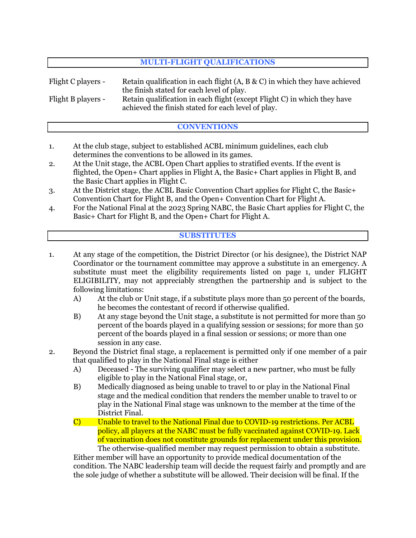# MULTI-FLIGHT QUALIFICATIONS

| Flight C players - | Retain qualification in each flight $(A, B & C)$ in which they have achieved |
|--------------------|------------------------------------------------------------------------------|
|                    | the finish stated for each level of play.                                    |
| Flight B players - | Retain qualification in each flight (except Flight C) in which they have     |
|                    | achieved the finish stated for each level of play.                           |

#### **CONVENTIONS**

- 1. At the club stage, subject to established ACBL minimum guidelines, each club determines the conventions to be allowed in its games.
- 2. At the Unit stage, the ACBL Open Chart applies to stratified events. If the event is flighted, the Open+ Chart applies in Flight A, the Basic+ Chart applies in Flight B, and the Basic Chart applies in Flight C.
- 3. At the District stage, the ACBL Basic Convention Chart applies for Flight C, the Basic+ Convention Chart for Flight B, and the Open+ Convention Chart for Flight A.
- 4. For the National Final at the 2023 Spring NABC, the Basic Chart applies for Flight C, the Basic+ Chart for Flight B, and the Open+ Chart for Flight A.

### **SUBSTITUTES**

- 1. At any stage of the competition, the District Director (or his designee), the District NAP Coordinator or the tournament committee may approve a substitute in an emergency. A substitute must meet the eligibility requirements listed on page 1, under FLIGHT ELIGIBILITY, may not appreciably strengthen the partnership and is subject to the following limitations:
	- A) At the club or Unit stage, if a substitute plays more than 50 percent of the boards, he becomes the contestant of record if otherwise qualified.
	- B) At any stage beyond the Unit stage, a substitute is not permitted for more than 50 percent of the boards played in a qualifying session or sessions; for more than 50 percent of the boards played in a final session or sessions; or more than one session in any case.
- 2. Beyond the District final stage, a replacement is permitted only if one member of a pair that qualified to play in the National Final stage is either
	- A) Deceased The surviving qualifier may select a new partner, who must be fully eligible to play in the National Final stage, or,
	- B) Medically diagnosed as being unable to travel to or play in the National Final stage and the medical condition that renders the member unable to travel to or play in the National Final stage was unknown to the member at the time of the District Final.
	- C) Unable to travel to the National Final due to COVID-19 restrictions. Per ACBL policy, all players at the NABC must be fully vaccinated against COVID-19. Lack of vaccination does not constitute grounds for replacement under this provision. The otherwise-qualified member may request permission to obtain a substitute.

Either member will have an opportunity to provide medical documentation of the condition. The NABC leadership team will decide the request fairly and promptly and are the sole judge of whether a substitute will be allowed. Their decision will be final. If the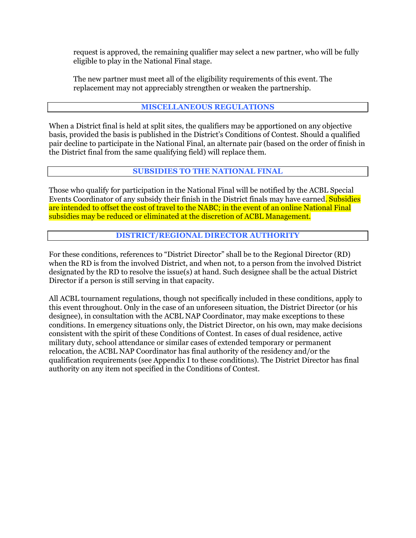request is approved, the remaining qualifier may select a new partner, who will be fully eligible to play in the National Final stage.

The new partner must meet all of the eligibility requirements of this event. The replacement may not appreciably strengthen or weaken the partnership.

# MISCELLANEOUS REGULATIONS

When a District final is held at split sites, the qualifiers may be apportioned on any objective basis, provided the basis is published in the District's Conditions of Contest. Should a qualified pair decline to participate in the National Final, an alternate pair (based on the order of finish in the District final from the same qualifying field) will replace them.

#### SUBSIDIES TO THE NATIONAL FINAL

Those who qualify for participation in the National Final will be notified by the ACBL Special Events Coordinator of any subsidy their finish in the District finals may have earned. Subsidies are intended to offset the cost of travel to the NABC; in the event of an online National Final subsidies may be reduced or eliminated at the discretion of ACBL Management.

### DISTRICT/REGIONAL DIRECTOR AUTHORITY

For these conditions, references to "District Director" shall be to the Regional Director (RD) when the RD is from the involved District, and when not, to a person from the involved District designated by the RD to resolve the issue(s) at hand. Such designee shall be the actual District Director if a person is still serving in that capacity.

All ACBL tournament regulations, though not specifically included in these conditions, apply to this event throughout. Only in the case of an unforeseen situation, the District Director (or his designee), in consultation with the ACBL NAP Coordinator, may make exceptions to these conditions. In emergency situations only, the District Director, on his own, may make decisions consistent with the spirit of these Conditions of Contest. In cases of dual residence, active military duty, school attendance or similar cases of extended temporary or permanent relocation, the ACBL NAP Coordinator has final authority of the residency and/or the qualification requirements (see Appendix I to these conditions). The District Director has final authority on any item not specified in the Conditions of Contest.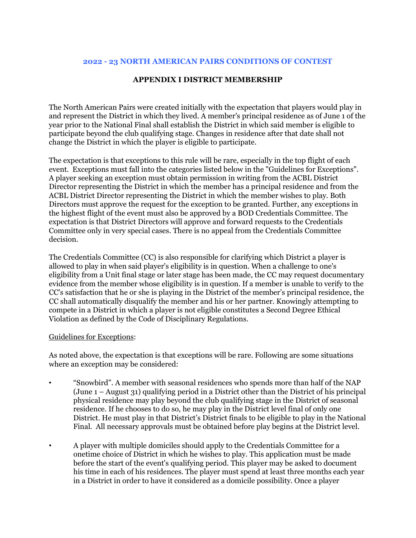#### APPENDIX I DISTRICT MEMBERSHIP

The North American Pairs were created initially with the expectation that players would play in and represent the District in which they lived. A member's principal residence as of June 1 of the year prior to the National Final shall establish the District in which said member is eligible to participate beyond the club qualifying stage. Changes in residence after that date shall not change the District in which the player is eligible to participate.

The expectation is that exceptions to this rule will be rare, especially in the top flight of each event. Exceptions must fall into the categories listed below in the "Guidelines for Exceptions". A player seeking an exception must obtain permission in writing from the ACBL District Director representing the District in which the member has a principal residence and from the ACBL District Director representing the District in which the member wishes to play. Both Directors must approve the request for the exception to be granted. Further, any exceptions in the highest flight of the event must also be approved by a BOD Credentials Committee. The expectation is that District Directors will approve and forward requests to the Credentials Committee only in very special cases. There is no appeal from the Credentials Committee decision.

The Credentials Committee (CC) is also responsible for clarifying which District a player is allowed to play in when said player's eligibility is in question. When a challenge to one's eligibility from a Unit final stage or later stage has been made, the CC may request documentary evidence from the member whose eligibility is in question. If a member is unable to verify to the CC's satisfaction that he or she is playing in the District of the member's principal residence, the CC shall automatically disqualify the member and his or her partner. Knowingly attempting to compete in a District in which a player is not eligible constitutes a Second Degree Ethical Violation as defined by the Code of Disciplinary Regulations.

#### Guidelines for Exceptions:

As noted above, the expectation is that exceptions will be rare. Following are some situations where an exception may be considered:

- "Snowbird". A member with seasonal residences who spends more than half of the NAP (June 1 – August 31) qualifying period in a District other than the District of his principal physical residence may play beyond the club qualifying stage in the District of seasonal residence. If he chooses to do so, he may play in the District level final of only one District. He must play in that District's District finals to be eligible to play in the National Final. All necessary approvals must be obtained before play begins at the District level.
- A player with multiple domiciles should apply to the Credentials Committee for a onetime choice of District in which he wishes to play. This application must be made before the start of the event's qualifying period. This player may be asked to document his time in each of his residences. The player must spend at least three months each year in a District in order to have it considered as a domicile possibility. Once a player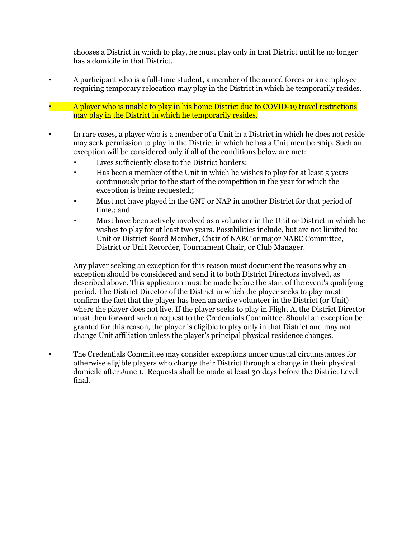chooses a District in which to play, he must play only in that District until he no longer has a domicile in that District.

• A participant who is a full-time student, a member of the armed forces or an employee requiring temporary relocation may play in the District in which he temporarily resides.

• A player who is unable to play in his home District due to COVID-19 travel restrictions may play in the District in which he temporarily resides.

- In rare cases, a player who is a member of a Unit in a District in which he does not reside may seek permission to play in the District in which he has a Unit membership. Such an exception will be considered only if all of the conditions below are met:
	- Lives sufficiently close to the District borders;
	- Has been a member of the Unit in which he wishes to play for at least 5 years continuously prior to the start of the competition in the year for which the exception is being requested.;
	- Must not have played in the GNT or NAP in another District for that period of time.; and
	- Must have been actively involved as a volunteer in the Unit or District in which he wishes to play for at least two years. Possibilities include, but are not limited to: Unit or District Board Member, Chair of NABC or major NABC Committee, District or Unit Recorder, Tournament Chair, or Club Manager.

Any player seeking an exception for this reason must document the reasons why an exception should be considered and send it to both District Directors involved, as described above. This application must be made before the start of the event's qualifying period. The District Director of the District in which the player seeks to play must confirm the fact that the player has been an active volunteer in the District (or Unit) where the player does not live. If the player seeks to play in Flight A, the District Director must then forward such a request to the Credentials Committee. Should an exception be granted for this reason, the player is eligible to play only in that District and may not change Unit affiliation unless the player's principal physical residence changes.

• The Credentials Committee may consider exceptions under unusual circumstances for otherwise eligible players who change their District through a change in their physical domicile after June 1. Requests shall be made at least 30 days before the District Level final.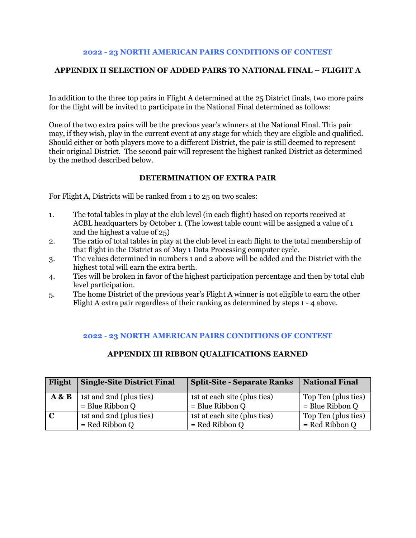# APPENDIX II SELECTION OF ADDED PAIRS TO NATIONAL FINAL – FLIGHT A

In addition to the three top pairs in Flight A determined at the 25 District finals, two more pairs for the flight will be invited to participate in the National Final determined as follows:

One of the two extra pairs will be the previous year's winners at the National Final. This pair may, if they wish, play in the current event at any stage for which they are eligible and qualified. Should either or both players move to a different District, the pair is still deemed to represent their original District. The second pair will represent the highest ranked District as determined by the method described below.

#### DETERMINATION OF EXTRA PAIR

For Flight A, Districts will be ranked from 1 to 25 on two scales:

- 1. The total tables in play at the club level (in each flight) based on reports received at ACBL headquarters by October 1. (The lowest table count will be assigned a value of 1 and the highest a value of 25)
- 2. The ratio of total tables in play at the club level in each flight to the total membership of that flight in the District as of May 1 Data Processing computer cycle.
- 3. The values determined in numbers 1 and 2 above will be added and the District with the highest total will earn the extra berth.
- 4. Ties will be broken in favor of the highest participation percentage and then by total club level participation.
- 5. The home District of the previous year's Flight A winner is not eligible to earn the other Flight A extra pair regardless of their ranking as determined by steps 1 - 4 above.

#### 2022 - 23 NORTH AMERICAN PAIRS CONDITIONS OF CONTEST

#### APPENDIX III RIBBON QUALIFICATIONS EARNED

| <b>Flight</b> | <b>Single-Site District Final</b> | <b>Split-Site - Separate Ranks</b> | <b>National Final</b> |
|---------------|-----------------------------------|------------------------------------|-----------------------|
| A & B         | 1st and 2nd (plus ties)           | 1st at each site (plus ties)       | Top Ten (plus ties)   |
|               | $=$ Blue Ribbon Q                 | $=$ Blue Ribbon Q                  | $=$ Blue Ribbon Q     |
| $\mathbf C$   | 1st and 2nd (plus ties)           | 1st at each site (plus ties)       | Top Ten (plus ties)   |
|               | $=$ Red Ribbon Q                  | $=$ Red Ribbon Q                   | $=$ Red Ribbon Q      |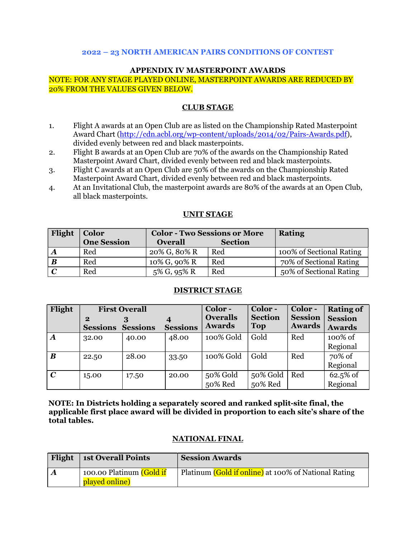#### APPENDIX IV MASTERPOINT AWARDS

# NOTE: FOR ANY STAGE PLAYED ONLINE, MASTERPOINT AWARDS ARE REDUCED BY 20% FROM THE VALUES GIVEN BELOW.

#### CLUB STAGE

- 1. Flight A awards at an Open Club are as listed on the Championship Rated Masterpoint Award Chart (http://cdn.acbl.org/wp-content/uploads/2014/02/Pairs-Awards.pdf), divided evenly between red and black masterpoints.
- 2. Flight B awards at an Open Club are 70% of the awards on the Championship Rated Masterpoint Award Chart, divided evenly between red and black masterpoints.
- 3. Flight C awards at an Open Club are 50% of the awards on the Championship Rated Masterpoint Award Chart, divided evenly between red and black masterpoints.
- 4. At an Invitational Club, the masterpoint awards are 80% of the awards at an Open Club, all black masterpoints.

| Flight           | <b>Color</b>       | <b>Color - Two Sessions or More</b> |                | <b>Rating</b>            |
|------------------|--------------------|-------------------------------------|----------------|--------------------------|
|                  | <b>One Session</b> | <b>Overall</b>                      | <b>Section</b> |                          |
| $\boldsymbol{A}$ | Red                | 20% G, 80% R                        | Red            | 100% of Sectional Rating |
| $\boldsymbol{B}$ | Red                | 10% G, 90% R                        | Red            | 70% of Sectional Rating  |
| $\mathbf C$      | Red                | 5% G, 95% R                         | Red            | 50% of Sectional Rating  |

#### UNIT STAGE

#### DISTRICT STAGE

| Flight           |                             | <b>First Overall</b> |                 | Color-                           | Color-                       | Color-                          | <b>Rating of</b>                |
|------------------|-----------------------------|----------------------|-----------------|----------------------------------|------------------------------|---------------------------------|---------------------------------|
|                  | $\bf{2}$<br><b>Sessions</b> | <b>Sessions</b>      | <b>Sessions</b> | <b>Overalls</b><br><b>Awards</b> | <b>Section</b><br><b>Top</b> | <b>Session</b><br><b>Awards</b> | <b>Session</b><br><b>Awards</b> |
| $\boldsymbol{A}$ | 32.00                       | 40.00                | 48.00           | 100% Gold                        | Gold                         | Red                             | 100% of                         |
|                  |                             |                      |                 |                                  |                              |                                 | Regional                        |
| $\boldsymbol{B}$ | 22.50                       | 28.00                | 33.50           | 100% Gold                        | Gold                         | Red                             | 70% of                          |
|                  |                             |                      |                 |                                  |                              |                                 | Regional                        |
| $\boldsymbol{C}$ | 15.00                       | 17.50                | 20.00           | 50% Gold                         | 50% Gold                     | Red                             | $62.5\%$ of                     |
|                  |                             |                      |                 | 50% Red                          | 50% Red                      |                                 | Regional                        |

NOTE: In Districts holding a separately scored and ranked split-site final, the applicable first place award will be divided in proportion to each site's share of the total tables.

#### NATIONAL FINAL

|                  | <b>Flight</b>   1st Overall Points | <b>Session Awards</b>                                |
|------------------|------------------------------------|------------------------------------------------------|
| $\boldsymbol{A}$ | 100.00 Platinum (Gold if           | Platinum (Gold if online) at 100% of National Rating |
|                  | played online)                     |                                                      |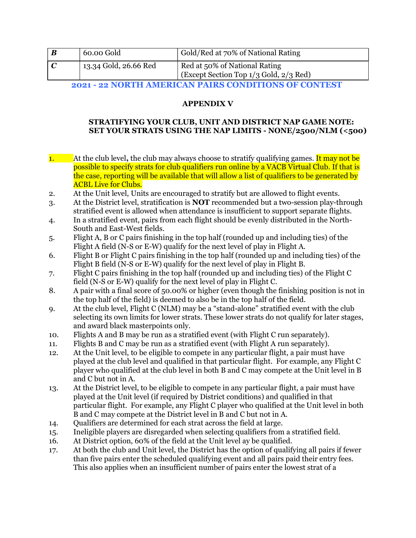| $\boldsymbol{B}$ | 60.00 Gold            | Gold/Red at 70% of National Rating                                      |
|------------------|-----------------------|-------------------------------------------------------------------------|
|                  | 13.34 Gold, 26.66 Red | Red at 50% of National Rating<br>(Except Section Top 1/3 Gold, 2/3 Red) |

### APPENDIX V

### STRATIFYING YOUR CLUB, UNIT AND DISTRICT NAP GAME NOTE: SET YOUR STRATS USING THE NAP LIMITS - NONE/2500/NLM (<500)

- 1. At the club level, the club may always choose to stratify qualifying games. It may not be possible to specify strats for club qualifiers run online by a VACB Virtual Club. If that is the case, reporting will be available that will allow a list of qualifiers to be generated by ACBL Live for Clubs.
- 2. At the Unit level, Units are encouraged to stratify but are allowed to flight events.
- 3. At the District level, stratification is NOT recommended but a two-session play-through stratified event is allowed when attendance is insufficient to support separate flights.
- 4. In a stratified event, pairs from each flight should be evenly distributed in the North-South and East-West fields.
- 5. Flight A, B or C pairs finishing in the top half (rounded up and including ties) of the Flight A field (N-S or E-W) qualify for the next level of play in Flight A.
- 6. Flight B or Flight C pairs finishing in the top half (rounded up and including ties) of the Flight B field (N-S or E-W) qualify for the next level of play in Flight B.
- 7. Flight C pairs finishing in the top half (rounded up and including ties) of the Flight C field (N-S or E-W) qualify for the next level of play in Flight C.
- 8. A pair with a final score of 50.00% or higher (even though the finishing position is not in the top half of the field) is deemed to also be in the top half of the field.
- 9. At the club level, Flight C (NLM) may be a "stand-alone" stratified event with the club selecting its own limits for lower strats. These lower strats do not qualify for later stages, and award black masterpoints only.
- 10. Flights A and B may be run as a stratified event (with Flight C run separately).
- 11. Flights B and C may be run as a stratified event (with Flight A run separately).
- 12. At the Unit level, to be eligible to compete in any particular flight, a pair must have played at the club level and qualified in that particular flight. For example, any Flight C player who qualified at the club level in both B and C may compete at the Unit level in B and C but not in A.
- 13. At the District level, to be eligible to compete in any particular flight, a pair must have played at the Unit level (if required by District conditions) and qualified in that particular flight. For example, any Flight C player who qualified at the Unit level in both B and C may compete at the District level in B and C but not in A.
- 14. Qualifiers are determined for each strat across the field at large.
- 15. Ineligible players are disregarded when selecting qualifiers from a stratified field.
- 16. At District option, 60% of the field at the Unit level ay be qualified.
- 17. At both the club and Unit level, the District has the option of qualifying all pairs if fewer than five pairs enter the scheduled qualifying event and all pairs paid their entry fees. This also applies when an insufficient number of pairs enter the lowest strat of a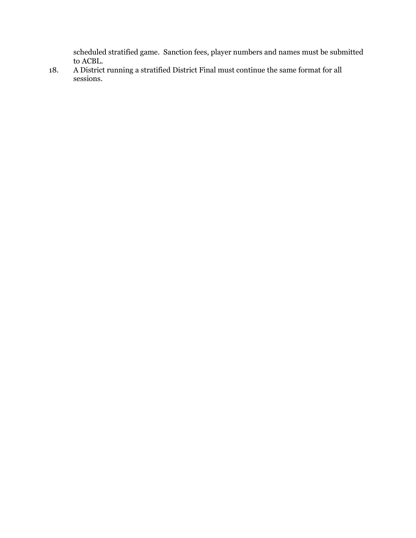scheduled stratified game. Sanction fees, player numbers and names must be submitted to ACBL.

18. A District running a stratified District Final must continue the same format for all sessions.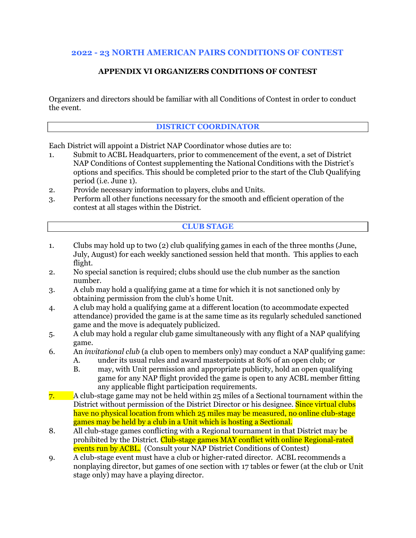# APPENDIX VI ORGANIZERS CONDITIONS OF CONTEST

Organizers and directors should be familiar with all Conditions of Contest in order to conduct the event.

#### DISTRICT COORDINATOR

Each District will appoint a District NAP Coordinator whose duties are to:

- 1. Submit to ACBL Headquarters, prior to commencement of the event, a set of District NAP Conditions of Contest supplementing the National Conditions with the District's options and specifics. This should be completed prior to the start of the Club Qualifying period (i.e. June 1).
- 2. Provide necessary information to players, clubs and Units.
- 3. Perform all other functions necessary for the smooth and efficient operation of the contest at all stages within the District.

#### CLUB STAGE

- 1. Clubs may hold up to two (2) club qualifying games in each of the three months (June, July, August) for each weekly sanctioned session held that month. This applies to each flight.
- 2. No special sanction is required; clubs should use the club number as the sanction number.
- 3. A club may hold a qualifying game at a time for which it is not sanctioned only by obtaining permission from the club's home Unit.
- 4. A club may hold a qualifying game at a different location (to accommodate expected attendance) provided the game is at the same time as its regularly scheduled sanctioned game and the move is adequately publicized.
- 5. A club may hold a regular club game simultaneously with any flight of a NAP qualifying game.
- 6. An invitational club (a club open to members only) may conduct a NAP qualifying game:
	- A. under its usual rules and award masterpoints at 80% of an open club; or
	- B. may, with Unit permission and appropriate publicity, hold an open qualifying game for any NAP flight provided the game is open to any ACBL member fitting any applicable flight participation requirements.
- 7. A club-stage game may not be held within 25 miles of a Sectional tournament within the District without permission of the District Director or his designee. Since virtual clubs have no physical location from which 25 miles may be measured, no online club-stage games may be held by a club in a Unit which is hosting a Sectional.
- 8. All club-stage games conflicting with a Regional tournament in that District may be prohibited by the District. Club-stage games MAY conflict with online Regional-rated events run by ACBL. (Consult your NAP District Conditions of Contest)
- 9. A club-stage event must have a club or higher-rated director. ACBL recommends a nonplaying director, but games of one section with 17 tables or fewer (at the club or Unit stage only) may have a playing director.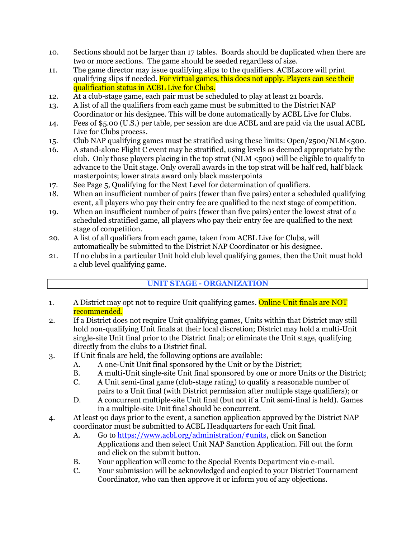- 10. Sections should not be larger than 17 tables. Boards should be duplicated when there are two or more sections. The game should be seeded regardless of size.
- 11. The game director may issue qualifying slips to the qualifiers. ACBLscore will print qualifying slips if needed. For virtual games, this does not apply. Players can see their qualification status in ACBL Live for Clubs.
- 12. At a club-stage game, each pair must be scheduled to play at least 21 boards.
- 13. A list of all the qualifiers from each game must be submitted to the District NAP Coordinator or his designee. This will be done automatically by ACBL Live for Clubs.
- 14. Fees of \$5.00 (U.S.) per table, per session are due ACBL and are paid via the usual ACBL Live for Clubs process.
- 15. Club NAP qualifying games must be stratified using these limits: Open/2500/NLM<500.
- 16. A stand-alone Flight C event may be stratified, using levels as deemed appropriate by the club. Only those players placing in the top strat (NLM <500) will be eligible to qualify to advance to the Unit stage. Only overall awards in the top strat will be half red, half black masterpoints; lower strats award only black masterpoints
- 17. See Page 5, Qualifying for the Next Level for determination of qualifiers.
- 18. When an insufficient number of pairs (fewer than five pairs) enter a scheduled qualifying event, all players who pay their entry fee are qualified to the next stage of competition.
- 19. When an insufficient number of pairs (fewer than five pairs) enter the lowest strat of a scheduled stratified game, all players who pay their entry fee are qualified to the next stage of competition.
- 20. A list of all qualifiers from each game, taken from ACBL Live for Clubs, will automatically be submitted to the District NAP Coordinator or his designee.
- 21. If no clubs in a particular Unit hold club level qualifying games, then the Unit must hold a club level qualifying game.

# UNIT STAGE - ORGANIZATION

- 1. A District may opt not to require Unit qualifying games. Online Unit finals are NOT recommended.
- 2. If a District does not require Unit qualifying games, Units within that District may still hold non-qualifying Unit finals at their local discretion; District may hold a multi-Unit single-site Unit final prior to the District final; or eliminate the Unit stage, qualifying directly from the clubs to a District final.
- 3. If Unit finals are held, the following options are available:
	- A. A one-Unit Unit final sponsored by the Unit or by the District;
	- B. A multi-Unit single-site Unit final sponsored by one or more Units or the District;
	- C. A Unit semi-final game (club-stage rating) to qualify a reasonable number of pairs to a Unit final (with District permission after multiple stage qualifiers); or
	- D. A concurrent multiple-site Unit final (but not if a Unit semi-final is held). Games in a multiple-site Unit final should be concurrent.
- 4. At least 90 days prior to the event, a sanction application approved by the District NAP coordinator must be submitted to ACBL Headquarters for each Unit final.
	- A. Go to https://www.acbl.org/administration/#units, click on Sanction Applications and then select Unit NAP Sanction Application. Fill out the form and click on the submit button.
	- B. Your application will come to the Special Events Department via e-mail.
	- C. Your submission will be acknowledged and copied to your District Tournament Coordinator, who can then approve it or inform you of any objections.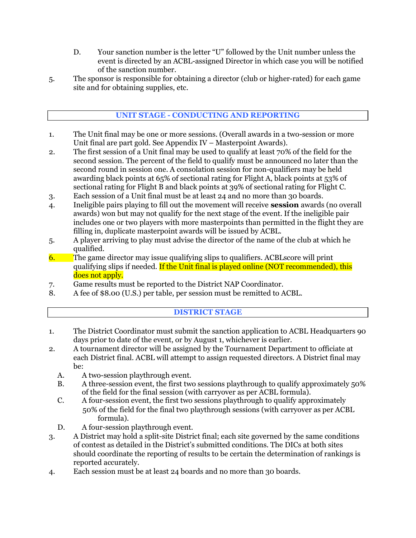- D. Your sanction number is the letter "U" followed by the Unit number unless the event is directed by an ACBL-assigned Director in which case you will be notified of the sanction number.
- 5. The sponsor is responsible for obtaining a director (club or higher-rated) for each game site and for obtaining supplies, etc.

### UNIT STAGE - CONDUCTING AND REPORTING

- 1. The Unit final may be one or more sessions. (Overall awards in a two-session or more Unit final are part gold. See Appendix IV – Masterpoint Awards).
- 2. The first session of a Unit final may be used to qualify at least 70% of the field for the second session. The percent of the field to qualify must be announced no later than the second round in session one. A consolation session for non-qualifiers may be held awarding black points at 65% of sectional rating for Flight A, black points at 53% of sectional rating for Flight B and black points at 39% of sectional rating for Flight C.
- 3. Each session of a Unit final must be at least 24 and no more than 30 boards.
- 4. Ineligible pairs playing to fill out the movement will receive **session** awards (no overall awards) won but may not qualify for the next stage of the event. If the ineligible pair includes one or two players with more masterpoints than permitted in the flight they are filling in, duplicate masterpoint awards will be issued by ACBL.
- 5. A player arriving to play must advise the director of the name of the club at which he qualified.
- 6. The game director may issue qualifying slips to qualifiers. ACBLscore will print qualifying slips if needed. If the Unit final is played online (NOT recommended), this does not apply.
- 7. Game results must be reported to the District NAP Coordinator.
- 8. A fee of \$8.00 (U.S.) per table, per session must be remitted to ACBL.

#### DISTRICT STAGE

- 1. The District Coordinator must submit the sanction application to ACBL Headquarters 90 days prior to date of the event, or by August 1, whichever is earlier.
- 2. A tournament director will be assigned by the Tournament Department to officiate at each District final. ACBL will attempt to assign requested directors. A District final may be:
	- A. A two-session playthrough event.
	- B. A three-session event, the first two sessions playthrough to qualify approximately 50% of the field for the final session (with carryover as per ACBL formula).
	- C. A four-session event, the first two sessions playthrough to qualify approximately 50% of the field for the final two playthrough sessions (with carryover as per ACBL formula).
	- D. A four-session playthrough event.
- 3. A District may hold a split-site District final; each site governed by the same conditions of contest as detailed in the District's submitted conditions. The DICs at both sites should coordinate the reporting of results to be certain the determination of rankings is reported accurately.
- 4. Each session must be at least 24 boards and no more than 30 boards.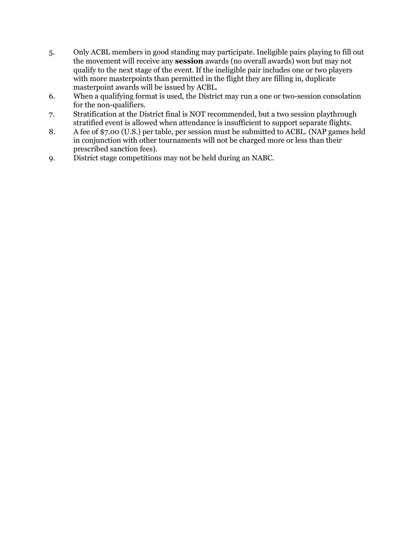- 5. Only ACBL members in good standing may participate. Ineligible pairs playing to fill out the movement will receive any session awards (no overall awards) won but may not qualify to the next stage of the event. If the ineligible pair includes one or two players with more masterpoints than permitted in the flight they are filling in, duplicate masterpoint awards will be issued by ACBL.
- 6. When a qualifying format is used, the District may run a one or two-session consolation for the non-qualifiers.
- 7. Stratification at the District final is NOT recommended, but a two session playthrough stratified event is allowed when attendance is insufficient to support separate flights.
- 8. A fee of \$7.00 (U.S.) per table, per session must be submitted to ACBL. (NAP games held in conjunction with other tournaments will not be charged more or less than their prescribed sanction fees).
- 9. District stage competitions may not be held during an NABC.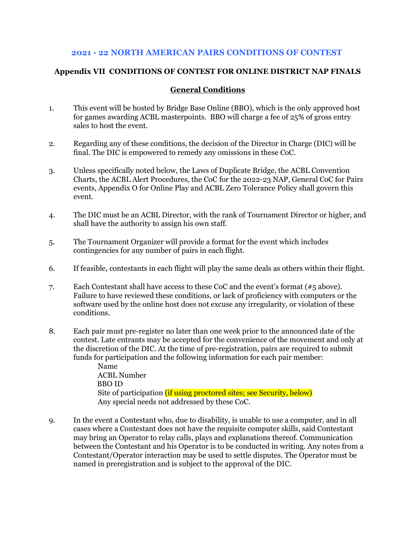#### Appendix VII CONDITIONS OF CONTEST FOR ONLINE DISTRICT NAP FINALS

#### General Conditions

- 1. This event will be hosted by Bridge Base Online (BBO), which is the only approved host for games awarding ACBL masterpoints. BBO will charge a fee of 25% of gross entry sales to host the event.
- 2. Regarding any of these conditions, the decision of the Director in Charge (DIC) will be final. The DIC is empowered to remedy any omissions in these CoC.
- 3. Unless specifically noted below, the Laws of Duplicate Bridge, the ACBL Convention Charts, the ACBL Alert Procedures, the CoC for the 2022-23 NAP, General CoC for Pairs events, Appendix O for Online Play and ACBL Zero Tolerance Policy shall govern this event.
- 4. The DIC must be an ACBL Director, with the rank of Tournament Director or higher, and shall have the authority to assign his own staff.
- 5. The Tournament Organizer will provide a format for the event which includes contingencies for any number of pairs in each flight.
- 6. If feasible, contestants in each flight will play the same deals as others within their flight.
- 7. Each Contestant shall have access to these CoC and the event's format (#5 above). Failure to have reviewed these conditions, or lack of proficiency with computers or the software used by the online host does not excuse any irregularity, or violation of these conditions.
- 8. Each pair must pre-register no later than one week prior to the announced date of the contest. Late entrants may be accepted for the convenience of the movement and only at the discretion of the DIC. At the time of pre-registration, pairs are required to submit funds for participation and the following information for each pair member:

 Name ACBL Number BBO ID Site of participation *(if using proctored sites; see Security, below)* Any special needs not addressed by these CoC.

9. In the event a Contestant who, due to disability, is unable to use a computer, and in all cases where a Contestant does not have the requisite computer skills, said Contestant may bring an Operator to relay calls, plays and explanations thereof. Communication between the Contestant and his Operator is to be conducted in writing. Any notes from a Contestant/Operator interaction may be used to settle disputes. The Operator must be named in preregistration and is subject to the approval of the DIC.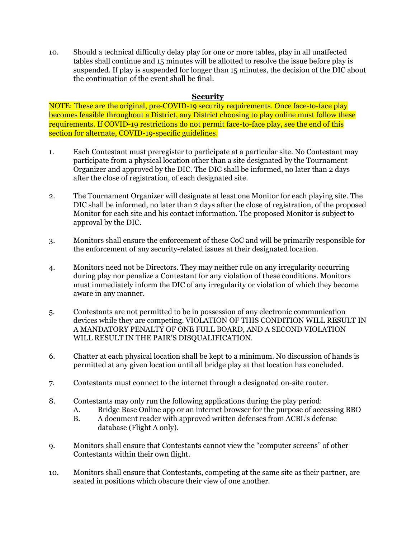10. Should a technical difficulty delay play for one or more tables, play in all unaffected tables shall continue and 15 minutes will be allotted to resolve the issue before play is suspended. If play is suspended for longer than 15 minutes, the decision of the DIC about the continuation of the event shall be final.

#### **Security**

NOTE: These are the original, pre-COVID-19 security requirements. Once face-to-face play becomes feasible throughout a District, any District choosing to play online must follow these requirements. If COVID-19 restrictions do not permit face-to-face play, see the end of this section for alternate, COVID-19-specific guidelines.

- 1. Each Contestant must preregister to participate at a particular site. No Contestant may participate from a physical location other than a site designated by the Tournament Organizer and approved by the DIC. The DIC shall be informed, no later than 2 days after the close of registration, of each designated site.
- 2. The Tournament Organizer will designate at least one Monitor for each playing site. The DIC shall be informed, no later than 2 days after the close of registration, of the proposed Monitor for each site and his contact information. The proposed Monitor is subject to approval by the DIC.
- 3. Monitors shall ensure the enforcement of these CoC and will be primarily responsible for the enforcement of any security-related issues at their designated location.
- 4. Monitors need not be Directors. They may neither rule on any irregularity occurring during play nor penalize a Contestant for any violation of these conditions. Monitors must immediately inform the DIC of any irregularity or violation of which they become aware in any manner.
- 5. Contestants are not permitted to be in possession of any electronic communication devices while they are competing. VIOLATION OF THIS CONDITION WILL RESULT IN A MANDATORY PENALTY OF ONE FULL BOARD, AND A SECOND VIOLATION WILL RESULT IN THE PAIR'S DISQUALIFICATION.
- 6. Chatter at each physical location shall be kept to a minimum. No discussion of hands is permitted at any given location until all bridge play at that location has concluded.
- 7. Contestants must connect to the internet through a designated on-site router.
- 8. Contestants may only run the following applications during the play period:
	- A. Bridge Base Online app or an internet browser for the purpose of accessing BBO
		- B. A document reader with approved written defenses from ACBL's defense database (Flight A only).
- 9. Monitors shall ensure that Contestants cannot view the "computer screens" of other Contestants within their own flight.
- 10. Monitors shall ensure that Contestants, competing at the same site as their partner, are seated in positions which obscure their view of one another.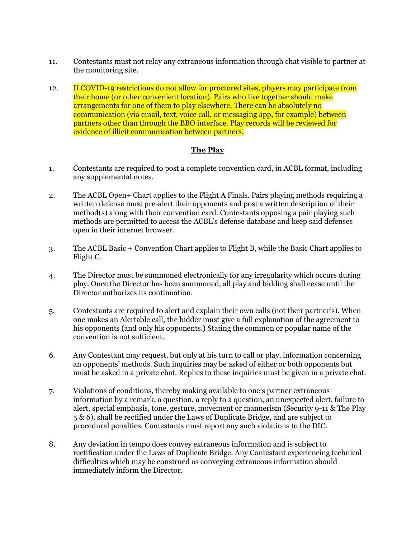- 11. Contestants must not relay any extraneous information through chat visible to partner at the monitoring site.
- 12. If COVID-19 restrictions do not allow for proctored sites, players may participate from their home (or other convenient location). Pairs who live together should make arrangements for one of them to play elsewhere. There can be absolutely no communication (via email, text, voice call, or messaging app, for example) between partners other than through the BBO interface. Play records will be reviewed for evidence of illicit communication between partners.

# The Play

- 1. Contestants are required to post a complete convention card, in ACBL format, including any supplemental notes.
- 2. The ACBL Open+ Chart applies to the Flight A Finals. Pairs playing methods requiring a written defense must pre-alert their opponents and post a written description of their method(s) along with their convention card. Contestants opposing a pair playing such methods are permitted to access the ACBL's defense database and keep said defenses open in their internet browser.
- 3. The ACBL Basic + Convention Chart applies to Flight B, while the Basic Chart applies to Flight C.
- 4. The Director must be summoned electronically for any irregularity which occurs during play. Once the Director has been summoned, all play and bidding shall cease until the Director authorizes its continuation.
- 5. Contestants are required to alert and explain their own calls (not their partner's). When one makes an Alertable call, the bidder must give a full explanation of the agreement to his opponents (and only his opponents.) Stating the common or popular name of the convention is not sufficient.
- 6. Any Contestant may request, but only at his turn to call or play, information concerning an opponents' methods. Such inquiries may be asked of either or both opponents but must be asked in a private chat. Replies to these inquiries must be given in a private chat.
- 7. Violations of conditions, thereby making available to one's partner extraneous information by a remark, a question, a reply to a question, an unexpected alert, failure to alert, special emphasis, tone, gesture, movement or mannerism (Security 9-11 & The Play 5 & 6), shall be rectified under the Laws of Duplicate Bridge, and are subject to procedural penalties. Contestants must report any such violations to the DIC.
- 8. Any deviation in tempo does convey extraneous information and is subject to rectification under the Laws of Duplicate Bridge. Any Contestant experiencing technical difficulties which may be construed as conveying extraneous information should immediately inform the Director.